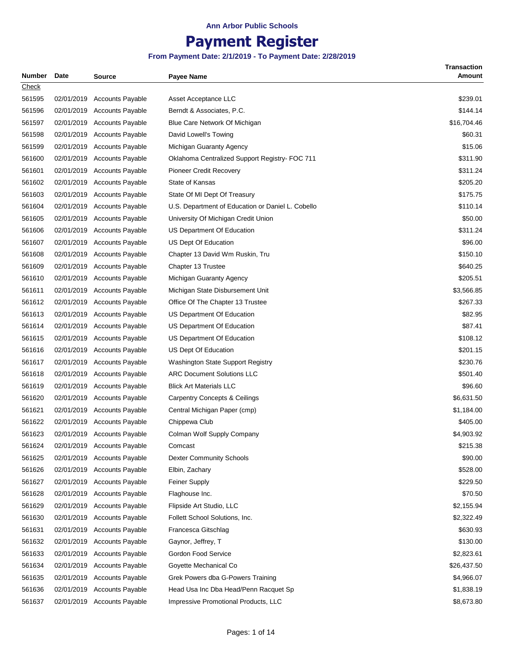# **Payment Register**

| Number | <b>Date</b> | <b>Source</b>               | Payee Name                                        | <b>Transaction</b><br>Amount |
|--------|-------------|-----------------------------|---------------------------------------------------|------------------------------|
| Check  |             |                             |                                                   |                              |
| 561595 |             | 02/01/2019 Accounts Payable | Asset Acceptance LLC                              | \$239.01                     |
| 561596 | 02/01/2019  | <b>Accounts Payable</b>     | Berndt & Associates, P.C.                         | \$144.14                     |
| 561597 | 02/01/2019  | <b>Accounts Payable</b>     | Blue Care Network Of Michigan                     | \$16,704.46                  |
| 561598 | 02/01/2019  | <b>Accounts Payable</b>     | David Lowell's Towing                             | \$60.31                      |
| 561599 | 02/01/2019  | <b>Accounts Payable</b>     | Michigan Guaranty Agency                          | \$15.06                      |
| 561600 | 02/01/2019  | <b>Accounts Payable</b>     | Oklahoma Centralized Support Registry- FOC 711    | \$311.90                     |
| 561601 |             | 02/01/2019 Accounts Payable | Pioneer Credit Recovery                           | \$311.24                     |
| 561602 | 02/01/2019  | <b>Accounts Payable</b>     | State of Kansas                                   | \$205.20                     |
| 561603 | 02/01/2019  | <b>Accounts Payable</b>     | State Of MI Dept Of Treasury                      | \$175.75                     |
| 561604 | 02/01/2019  | <b>Accounts Payable</b>     | U.S. Department of Education or Daniel L. Cobello | \$110.14                     |
| 561605 | 02/01/2019  | <b>Accounts Payable</b>     | University Of Michigan Credit Union               | \$50.00                      |
| 561606 | 02/01/2019  | <b>Accounts Payable</b>     | US Department Of Education                        | \$311.24                     |
| 561607 |             | 02/01/2019 Accounts Payable | US Dept Of Education                              | \$96.00                      |
| 561608 |             | 02/01/2019 Accounts Payable | Chapter 13 David Wm Ruskin, Tru                   | \$150.10                     |
| 561609 | 02/01/2019  | <b>Accounts Payable</b>     | Chapter 13 Trustee                                | \$640.25                     |
| 561610 | 02/01/2019  | <b>Accounts Payable</b>     | Michigan Guaranty Agency                          | \$205.51                     |
| 561611 | 02/01/2019  | <b>Accounts Payable</b>     | Michigan State Disbursement Unit                  | \$3,566.85                   |
| 561612 | 02/01/2019  | <b>Accounts Payable</b>     | Office Of The Chapter 13 Trustee                  | \$267.33                     |
| 561613 |             | 02/01/2019 Accounts Payable | US Department Of Education                        | \$82.95                      |
| 561614 | 02/01/2019  | <b>Accounts Payable</b>     | US Department Of Education                        | \$87.41                      |
| 561615 | 02/01/2019  | <b>Accounts Payable</b>     | US Department Of Education                        | \$108.12                     |
| 561616 | 02/01/2019  | <b>Accounts Payable</b>     | US Dept Of Education                              | \$201.15                     |
| 561617 | 02/01/2019  | <b>Accounts Payable</b>     | <b>Washington State Support Registry</b>          | \$230.76                     |
| 561618 | 02/01/2019  | <b>Accounts Payable</b>     | <b>ARC Document Solutions LLC</b>                 | \$501.40                     |
| 561619 | 02/01/2019  | <b>Accounts Payable</b>     | <b>Blick Art Materials LLC</b>                    | \$96.60                      |
| 561620 |             | 02/01/2019 Accounts Payable | <b>Carpentry Concepts &amp; Ceilings</b>          | \$6,631.50                   |
| 561621 | 02/01/2019  | <b>Accounts Payable</b>     | Central Michigan Paper (cmp)                      | \$1,184.00                   |
| 561622 |             | 02/01/2019 Accounts Payable | Chippewa Club                                     | \$405.00                     |
| 561623 |             | 02/01/2019 Accounts Payable | Colman Wolf Supply Company                        | \$4,903.92                   |
| 561624 | 02/01/2019  | <b>Accounts Payable</b>     | Comcast                                           | \$215.38                     |
| 561625 | 02/01/2019  | <b>Accounts Payable</b>     | <b>Dexter Community Schools</b>                   | \$90.00                      |
| 561626 | 02/01/2019  | <b>Accounts Payable</b>     | Elbin, Zachary                                    | \$528.00                     |
| 561627 | 02/01/2019  | <b>Accounts Payable</b>     | Feiner Supply                                     | \$229.50                     |
| 561628 | 02/01/2019  | <b>Accounts Payable</b>     | Flaghouse Inc.                                    | \$70.50                      |
| 561629 | 02/01/2019  | <b>Accounts Payable</b>     | Flipside Art Studio, LLC                          | \$2,155.94                   |
| 561630 | 02/01/2019  |                             | Follett School Solutions, Inc.                    | \$2,322.49                   |
|        |             | <b>Accounts Payable</b>     |                                                   |                              |
| 561631 | 02/01/2019  | <b>Accounts Payable</b>     | Francesca Gitschlag                               | \$630.93                     |
| 561632 | 02/01/2019  | <b>Accounts Payable</b>     | Gaynor, Jeffrey, T                                | \$130.00                     |
| 561633 | 02/01/2019  | <b>Accounts Payable</b>     | Gordon Food Service                               | \$2,823.61                   |
| 561634 | 02/01/2019  | <b>Accounts Payable</b>     | Goyette Mechanical Co                             | \$26,437.50                  |
| 561635 | 02/01/2019  | <b>Accounts Payable</b>     | Grek Powers dba G-Powers Training                 | \$4,966.07                   |
| 561636 | 02/01/2019  | <b>Accounts Payable</b>     | Head Usa Inc Dba Head/Penn Racquet Sp             | \$1,838.19                   |
| 561637 |             | 02/01/2019 Accounts Payable | Impressive Promotional Products, LLC              | \$8,673.80                   |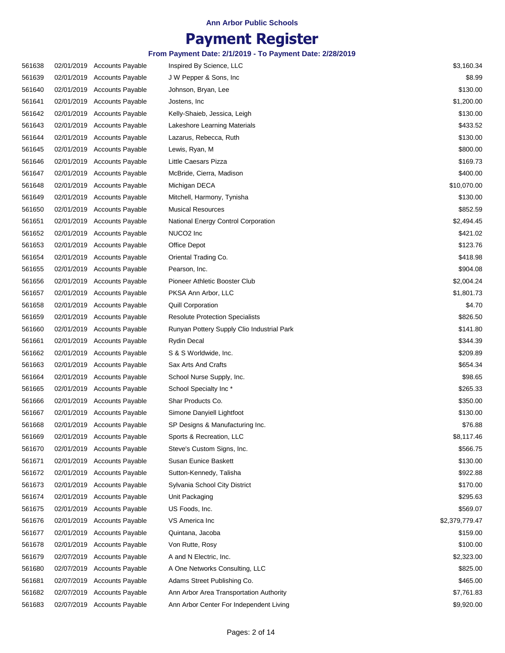# **Payment Register**

| 561638 | 02/01/2019 Accounts Payable | Inspired By Science, LLC                   | \$3,160.34     |
|--------|-----------------------------|--------------------------------------------|----------------|
| 561639 | 02/01/2019 Accounts Payable | J W Pepper & Sons, Inc                     | \$8.99         |
| 561640 | 02/01/2019 Accounts Payable | Johnson, Bryan, Lee                        | \$130.00       |
| 561641 | 02/01/2019 Accounts Payable | Jostens, Inc.                              | \$1,200.00     |
| 561642 | 02/01/2019 Accounts Payable | Kelly-Shaieb, Jessica, Leigh               | \$130.00       |
| 561643 | 02/01/2019 Accounts Payable | Lakeshore Learning Materials               | \$433.52       |
| 561644 | 02/01/2019 Accounts Payable | Lazarus, Rebecca, Ruth                     | \$130.00       |
| 561645 | 02/01/2019 Accounts Payable | Lewis, Ryan, M                             | \$800.00       |
| 561646 | 02/01/2019 Accounts Payable | Little Caesars Pizza                       | \$169.73       |
| 561647 | 02/01/2019 Accounts Payable | McBride, Cierra, Madison                   | \$400.00       |
| 561648 | 02/01/2019 Accounts Payable | Michigan DECA                              | \$10,070.00    |
| 561649 | 02/01/2019 Accounts Payable | Mitchell, Harmony, Tynisha                 | \$130.00       |
| 561650 | 02/01/2019 Accounts Payable | <b>Musical Resources</b>                   | \$852.59       |
| 561651 | 02/01/2019 Accounts Payable | National Energy Control Corporation        | \$2,494.45     |
| 561652 | 02/01/2019 Accounts Payable | NUCO <sub>2</sub> Inc                      | \$421.02       |
| 561653 | 02/01/2019 Accounts Payable | Office Depot                               | \$123.76       |
| 561654 | 02/01/2019 Accounts Payable | Oriental Trading Co.                       | \$418.98       |
| 561655 | 02/01/2019 Accounts Payable | Pearson, Inc.                              | \$904.08       |
| 561656 | 02/01/2019 Accounts Payable | Pioneer Athletic Booster Club              | \$2,004.24     |
| 561657 | 02/01/2019 Accounts Payable | PKSA Ann Arbor, LLC                        | \$1,801.73     |
| 561658 | 02/01/2019 Accounts Payable | Quill Corporation                          | \$4.70         |
| 561659 | 02/01/2019 Accounts Payable | <b>Resolute Protection Specialists</b>     | \$826.50       |
| 561660 | 02/01/2019 Accounts Payable | Runyan Pottery Supply Clio Industrial Park | \$141.80       |
| 561661 | 02/01/2019 Accounts Payable | <b>Rydin Decal</b>                         | \$344.39       |
| 561662 | 02/01/2019 Accounts Payable | S & S Worldwide, Inc.                      | \$209.89       |
| 561663 | 02/01/2019 Accounts Payable | Sax Arts And Crafts                        | \$654.34       |
| 561664 | 02/01/2019 Accounts Payable | School Nurse Supply, Inc.                  | \$98.65        |
| 561665 | 02/01/2019 Accounts Payable | School Specialty Inc*                      | \$265.33       |
| 561666 | 02/01/2019 Accounts Payable | Shar Products Co.                          | \$350.00       |
| 561667 | 02/01/2019 Accounts Payable | Simone Danyiell Lightfoot                  | \$130.00       |
| 561668 | 02/01/2019 Accounts Payable | SP Designs & Manufacturing Inc.            | \$76.88        |
| 561669 | 02/01/2019 Accounts Payable | Sports & Recreation, LLC                   | \$8,117.46     |
| 561670 | 02/01/2019 Accounts Payable | Steve's Custom Signs, Inc.                 | \$566.75       |
| 561671 | 02/01/2019 Accounts Payable | Susan Eunice Baskett                       | \$130.00       |
| 561672 | 02/01/2019 Accounts Payable | Sutton-Kennedy, Talisha                    | \$922.88       |
| 561673 | 02/01/2019 Accounts Payable | Sylvania School City District              | \$170.00       |
| 561674 | 02/01/2019 Accounts Payable | Unit Packaging                             | \$295.63       |
| 561675 | 02/01/2019 Accounts Payable | US Foods, Inc.                             | \$569.07       |
| 561676 | 02/01/2019 Accounts Payable | VS America Inc                             | \$2,379,779.47 |
| 561677 | 02/01/2019 Accounts Payable | Quintana, Jacoba                           | \$159.00       |
| 561678 | 02/01/2019 Accounts Payable | Von Rutte, Rosy                            | \$100.00       |
| 561679 | 02/07/2019 Accounts Payable | A and N Electric, Inc.                     | \$2,323.00     |
| 561680 | 02/07/2019 Accounts Payable | A One Networks Consulting, LLC             | \$825.00       |
| 561681 | 02/07/2019 Accounts Payable | Adams Street Publishing Co.                | \$465.00       |
|        |                             |                                            | \$7,761.83     |
| 561682 | 02/07/2019 Accounts Payable | Ann Arbor Area Transportation Authority    |                |
| 561683 | 02/07/2019 Accounts Payable | Ann Arbor Center For Independent Living    | \$9,920.00     |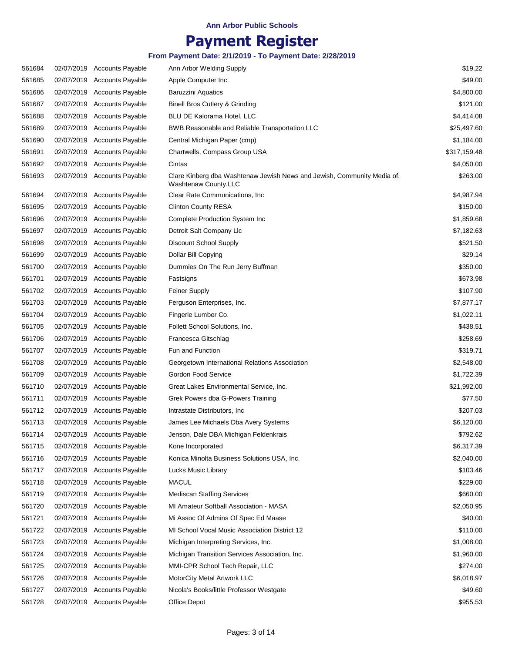# **Payment Register**

| 561684 | 02/07/2019 Accounts Payable | Ann Arbor Welding Supply                                                                         | \$19.22      |
|--------|-----------------------------|--------------------------------------------------------------------------------------------------|--------------|
| 561685 | 02/07/2019 Accounts Payable | Apple Computer Inc                                                                               | \$49.00      |
| 561686 | 02/07/2019 Accounts Payable | <b>Baruzzini Aquatics</b>                                                                        | \$4,800.00   |
| 561687 | 02/07/2019 Accounts Payable | Binell Bros Cutlery & Grinding                                                                   | \$121.00     |
| 561688 | 02/07/2019 Accounts Payable | <b>BLU DE Kalorama Hotel, LLC</b>                                                                | \$4,414.08   |
| 561689 | 02/07/2019 Accounts Payable | BWB Reasonable and Reliable Transportation LLC                                                   | \$25,497.60  |
| 561690 | 02/07/2019 Accounts Payable | Central Michigan Paper (cmp)                                                                     | \$1,184.00   |
| 561691 | 02/07/2019 Accounts Payable | Chartwells, Compass Group USA                                                                    | \$317,159.48 |
| 561692 | 02/07/2019 Accounts Payable | Cintas                                                                                           | \$4,050.00   |
| 561693 | 02/07/2019 Accounts Payable | Clare Kinberg dba Washtenaw Jewish News and Jewish, Community Media of,<br>Washtenaw County, LLC | \$263.00     |
| 561694 | 02/07/2019 Accounts Payable | Clear Rate Communications, Inc.                                                                  | \$4,987.94   |
| 561695 | 02/07/2019 Accounts Payable | <b>Clinton County RESA</b>                                                                       | \$150.00     |
| 561696 | 02/07/2019 Accounts Payable | <b>Complete Production System Inc</b>                                                            | \$1,859.68   |
| 561697 | 02/07/2019 Accounts Payable | Detroit Salt Company Llc                                                                         | \$7,182.63   |
| 561698 | 02/07/2019 Accounts Payable | Discount School Supply                                                                           | \$521.50     |
| 561699 | 02/07/2019 Accounts Payable | Dollar Bill Copying                                                                              | \$29.14      |
| 561700 | 02/07/2019 Accounts Payable | Dummies On The Run Jerry Buffman                                                                 | \$350.00     |
| 561701 | 02/07/2019 Accounts Payable | Fastsigns                                                                                        | \$673.98     |
| 561702 | 02/07/2019 Accounts Payable | Feiner Supply                                                                                    | \$107.90     |
| 561703 | 02/07/2019 Accounts Payable | Ferguson Enterprises, Inc.                                                                       | \$7,877.17   |
| 561704 | 02/07/2019 Accounts Payable | Fingerle Lumber Co.                                                                              | \$1,022.11   |
| 561705 | 02/07/2019 Accounts Payable | Follett School Solutions, Inc.                                                                   | \$438.51     |
| 561706 | 02/07/2019 Accounts Payable | Francesca Gitschlag                                                                              | \$258.69     |
| 561707 | 02/07/2019 Accounts Payable | Fun and Function                                                                                 | \$319.71     |
| 561708 | 02/07/2019 Accounts Payable | Georgetown International Relations Association                                                   | \$2,548.00   |
| 561709 | 02/07/2019 Accounts Payable | Gordon Food Service                                                                              | \$1,722.39   |
| 561710 | 02/07/2019 Accounts Payable | Great Lakes Environmental Service, Inc.                                                          | \$21,992.00  |
| 561711 | 02/07/2019 Accounts Payable | Grek Powers dba G-Powers Training                                                                | \$77.50      |
| 561712 | 02/07/2019 Accounts Payable | Intrastate Distributors, Inc.                                                                    | \$207.03     |
| 561713 | 02/07/2019 Accounts Payable | James Lee Michaels Dba Avery Systems                                                             | \$6,120.00   |
| 561714 | 02/07/2019 Accounts Payable | Jenson, Dale DBA Michigan Feldenkrais                                                            | \$792.62     |
| 561715 | 02/07/2019 Accounts Payable | Kone Incorporated                                                                                | \$6,317.39   |
| 561716 | 02/07/2019 Accounts Payable | Konica Minolta Business Solutions USA, Inc.                                                      | \$2,040.00   |
| 561717 | 02/07/2019 Accounts Payable | Lucks Music Library                                                                              | \$103.46     |
| 561718 | 02/07/2019 Accounts Payable | <b>MACUL</b>                                                                                     | \$229.00     |
| 561719 | 02/07/2019 Accounts Payable | <b>Mediscan Staffing Services</b>                                                                | \$660.00     |
| 561720 | 02/07/2019 Accounts Payable | MI Amateur Softball Association - MASA                                                           | \$2,050.95   |
| 561721 | 02/07/2019 Accounts Payable | Mi Assoc Of Admins Of Spec Ed Maase                                                              | \$40.00      |
| 561722 | 02/07/2019 Accounts Payable | MI School Vocal Music Association District 12                                                    | \$110.00     |
| 561723 | 02/07/2019 Accounts Payable | Michigan Interpreting Services, Inc.                                                             | \$1,008.00   |
| 561724 | 02/07/2019 Accounts Payable | Michigan Transition Services Association, Inc.                                                   | \$1,960.00   |
| 561725 | 02/07/2019 Accounts Payable | MMI-CPR School Tech Repair, LLC                                                                  | \$274.00     |
| 561726 | 02/07/2019 Accounts Payable | MotorCity Metal Artwork LLC                                                                      | \$6,018.97   |
| 561727 | 02/07/2019 Accounts Payable | Nicola's Books/little Professor Westgate                                                         | \$49.60      |
| 561728 | 02/07/2019 Accounts Payable | Office Depot                                                                                     | \$955.53     |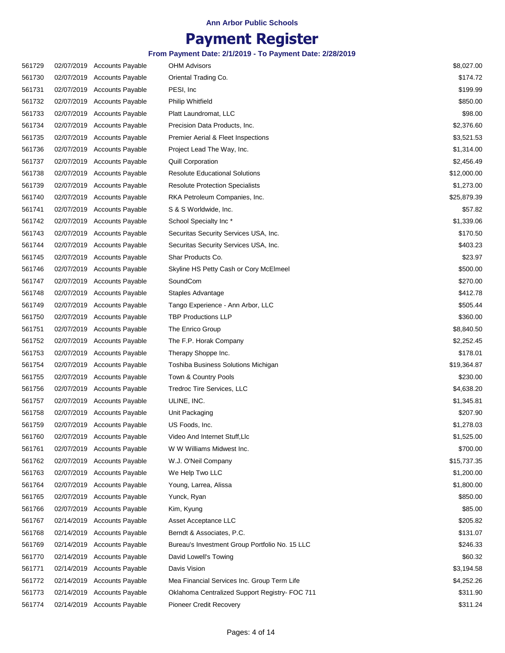# **Payment Register**

| 561729 |            | 02/07/2019 Accounts Payable | <b>OHM Advisors</b>                            | \$8,027.00  |
|--------|------------|-----------------------------|------------------------------------------------|-------------|
| 561730 |            | 02/07/2019 Accounts Payable | Oriental Trading Co.                           | \$174.72    |
| 561731 |            | 02/07/2019 Accounts Payable | PESI, Inc.                                     | \$199.99    |
| 561732 |            | 02/07/2019 Accounts Payable | <b>Philip Whitfield</b>                        | \$850.00    |
| 561733 | 02/07/2019 | <b>Accounts Payable</b>     | Platt Laundromat, LLC                          | \$98.00     |
| 561734 |            | 02/07/2019 Accounts Payable | Precision Data Products, Inc.                  | \$2,376.60  |
| 561735 | 02/07/2019 | <b>Accounts Payable</b>     | Premier Aerial & Fleet Inspections             | \$3,521.53  |
| 561736 |            | 02/07/2019 Accounts Payable | Project Lead The Way, Inc.                     | \$1,314.00  |
| 561737 |            | 02/07/2019 Accounts Payable | <b>Quill Corporation</b>                       | \$2,456.49  |
| 561738 | 02/07/2019 | <b>Accounts Payable</b>     | <b>Resolute Educational Solutions</b>          | \$12,000.00 |
| 561739 | 02/07/2019 | <b>Accounts Payable</b>     | <b>Resolute Protection Specialists</b>         | \$1,273.00  |
| 561740 |            | 02/07/2019 Accounts Payable | RKA Petroleum Companies, Inc.                  | \$25,879.39 |
| 561741 | 02/07/2019 | Accounts Payable            | S & S Worldwide, Inc.                          | \$57.82     |
| 561742 | 02/07/2019 | <b>Accounts Payable</b>     | School Specialty Inc*                          | \$1,339.06  |
| 561743 |            | 02/07/2019 Accounts Payable | Securitas Security Services USA, Inc.          | \$170.50    |
| 561744 |            | 02/07/2019 Accounts Payable | Securitas Security Services USA, Inc.          | \$403.23    |
| 561745 | 02/07/2019 | <b>Accounts Payable</b>     | Shar Products Co.                              | \$23.97     |
| 561746 | 02/07/2019 | <b>Accounts Payable</b>     | Skyline HS Petty Cash or Cory McElmeel         | \$500.00    |
| 561747 | 02/07/2019 | Accounts Payable            | SoundCom                                       | \$270.00    |
| 561748 |            | 02/07/2019 Accounts Payable | Staples Advantage                              | \$412.78    |
| 561749 | 02/07/2019 | <b>Accounts Payable</b>     | Tango Experience - Ann Arbor, LLC              | \$505.44    |
| 561750 |            | 02/07/2019 Accounts Payable | <b>TBP Productions LLP</b>                     | \$360.00    |
| 561751 |            | 02/07/2019 Accounts Payable | The Enrico Group                               | \$8,840.50  |
| 561752 | 02/07/2019 | Accounts Payable            | The F.P. Horak Company                         | \$2,252.45  |
| 561753 |            | 02/07/2019 Accounts Payable | Therapy Shoppe Inc.                            | \$178.01    |
| 561754 |            | 02/07/2019 Accounts Payable | Toshiba Business Solutions Michigan            | \$19,364.87 |
| 561755 |            | 02/07/2019 Accounts Payable | Town & Country Pools                           | \$230.00    |
| 561756 |            | 02/07/2019 Accounts Payable | Tredroc Tire Services, LLC                     | \$4,638.20  |
| 561757 | 02/07/2019 | <b>Accounts Payable</b>     | ULINE, INC.                                    | \$1,345.81  |
| 561758 | 02/07/2019 | <b>Accounts Payable</b>     | Unit Packaging                                 | \$207.90    |
| 561759 |            | 02/07/2019 Accounts Payable | US Foods, Inc.                                 | \$1,278.03  |
| 561760 |            | 02/07/2019 Accounts Payable | Video And Internet Stuff, Llc                  | \$1,525.00  |
| 561761 |            | 02/07/2019 Accounts Payable | W W Williams Midwest Inc.                      | \$700.00    |
| 561762 |            | 02/07/2019 Accounts Payable | W.J. O'Neil Company                            | \$15,737.35 |
| 561763 |            | 02/07/2019 Accounts Payable | We Help Two LLC                                | \$1,200.00  |
| 561764 |            | 02/07/2019 Accounts Payable | Young, Larrea, Alissa                          | \$1,800.00  |
| 561765 |            | 02/07/2019 Accounts Payable | Yunck, Ryan                                    | \$850.00    |
| 561766 | 02/07/2019 | <b>Accounts Payable</b>     | Kim, Kyung                                     | \$85.00     |
|        |            | 02/14/2019 Accounts Payable |                                                |             |
| 561767 |            |                             | Asset Acceptance LLC                           | \$205.82    |
| 561768 | 02/14/2019 | <b>Accounts Payable</b>     | Berndt & Associates, P.C.                      | \$131.07    |
| 561769 | 02/14/2019 | <b>Accounts Payable</b>     | Bureau's Investment Group Portfolio No. 15 LLC | \$246.33    |
| 561770 |            | 02/14/2019 Accounts Payable | David Lowell's Towing                          | \$60.32     |
| 561771 | 02/14/2019 | <b>Accounts Payable</b>     | Davis Vision                                   | \$3,194.58  |
| 561772 | 02/14/2019 | <b>Accounts Payable</b>     | Mea Financial Services Inc. Group Term Life    | \$4,252.26  |
| 561773 |            | 02/14/2019 Accounts Payable | Oklahoma Centralized Support Registry- FOC 711 | \$311.90    |
| 561774 |            | 02/14/2019 Accounts Payable | Pioneer Credit Recovery                        | \$311.24    |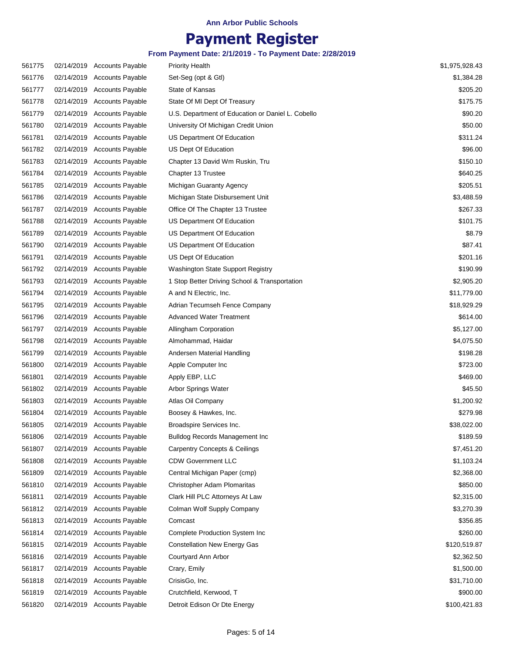### **Payment Register**

| 561775 | 02/14/2019 Accounts Payable | <b>Priority Health</b>                            | \$1,975,928.43 |
|--------|-----------------------------|---------------------------------------------------|----------------|
| 561776 | 02/14/2019 Accounts Payable | Set-Seg (opt & Gtl)                               | \$1,384.28     |
| 561777 | 02/14/2019 Accounts Payable | State of Kansas                                   | \$205.20       |
| 561778 | 02/14/2019 Accounts Payable | State Of MI Dept Of Treasury                      | \$175.75       |
| 561779 | 02/14/2019 Accounts Payable | U.S. Department of Education or Daniel L. Cobello | \$90.20        |
| 561780 | 02/14/2019 Accounts Payable | University Of Michigan Credit Union               | \$50.00        |
| 561781 | 02/14/2019 Accounts Payable | US Department Of Education                        | \$311.24       |
| 561782 | 02/14/2019 Accounts Payable | US Dept Of Education                              | \$96.00        |
| 561783 | 02/14/2019 Accounts Payable | Chapter 13 David Wm Ruskin, Tru                   | \$150.10       |
| 561784 | 02/14/2019 Accounts Payable | Chapter 13 Trustee                                | \$640.25       |
| 561785 | 02/14/2019 Accounts Payable | Michigan Guaranty Agency                          | \$205.51       |
| 561786 | 02/14/2019 Accounts Payable | Michigan State Disbursement Unit                  | \$3,488.59     |
| 561787 | 02/14/2019 Accounts Payable | Office Of The Chapter 13 Trustee                  | \$267.33       |
| 561788 | 02/14/2019 Accounts Payable | US Department Of Education                        | \$101.75       |
| 561789 | 02/14/2019 Accounts Payable | US Department Of Education                        | \$8.79         |
| 561790 | 02/14/2019 Accounts Payable | US Department Of Education                        | \$87.41        |
| 561791 | 02/14/2019 Accounts Payable | US Dept Of Education                              | \$201.16       |
| 561792 | 02/14/2019 Accounts Payable | Washington State Support Registry                 | \$190.99       |
| 561793 | 02/14/2019 Accounts Payable | 1 Stop Better Driving School & Transportation     | \$2,905.20     |
| 561794 | 02/14/2019 Accounts Payable | A and N Electric, Inc.                            | \$11,779.00    |
| 561795 | 02/14/2019 Accounts Payable | Adrian Tecumseh Fence Company                     | \$18,929.29    |
| 561796 | 02/14/2019 Accounts Payable | <b>Advanced Water Treatment</b>                   | \$614.00       |
| 561797 | 02/14/2019 Accounts Payable | Allingham Corporation                             | \$5,127.00     |
| 561798 | 02/14/2019 Accounts Payable | Almohammad, Haidar                                | \$4,075.50     |
| 561799 | 02/14/2019 Accounts Payable | Andersen Material Handling                        | \$198.28       |
| 561800 | 02/14/2019 Accounts Payable | Apple Computer Inc                                | \$723.00       |
| 561801 | 02/14/2019 Accounts Payable | Apply EBP, LLC                                    | \$469.00       |
| 561802 | 02/14/2019 Accounts Payable | Arbor Springs Water                               | \$45.50        |
| 561803 | 02/14/2019 Accounts Payable | Atlas Oil Company                                 | \$1,200.92     |
| 561804 | 02/14/2019 Accounts Payable | Boosey & Hawkes, Inc.                             | \$279.98       |
| 561805 | 02/14/2019 Accounts Payable | Broadspire Services Inc.                          | \$38,022.00    |
| 561806 | 02/14/2019 Accounts Payable | <b>Bulldog Records Management Inc</b>             | \$189.59       |
| 561807 | 02/14/2019 Accounts Payable | <b>Carpentry Concepts &amp; Ceilings</b>          | \$7,451.20     |
| 561808 | 02/14/2019 Accounts Payable | <b>CDW Government LLC</b>                         | \$1,103.24     |
| 561809 | 02/14/2019 Accounts Payable | Central Michigan Paper (cmp)                      | \$2,368.00     |
| 561810 | 02/14/2019 Accounts Payable | Christopher Adam Plomaritas                       | \$850.00       |
| 561811 | 02/14/2019 Accounts Payable | Clark Hill PLC Attorneys At Law                   | \$2,315.00     |
| 561812 | 02/14/2019 Accounts Payable | Colman Wolf Supply Company                        | \$3,270.39     |
| 561813 | 02/14/2019 Accounts Payable | Comcast                                           | \$356.85       |
| 561814 | 02/14/2019 Accounts Payable | <b>Complete Production System Inc</b>             | \$260.00       |
| 561815 | 02/14/2019 Accounts Payable | <b>Constellation New Energy Gas</b>               | \$120,519.87   |
| 561816 | 02/14/2019 Accounts Payable | Courtyard Ann Arbor                               | \$2,362.50     |
| 561817 | 02/14/2019 Accounts Payable | Crary, Emily                                      | \$1,500.00     |
| 561818 | 02/14/2019 Accounts Payable | CrisisGo, Inc.                                    | \$31,710.00    |
| 561819 | 02/14/2019 Accounts Payable | Crutchfield, Kerwood, T                           | \$900.00       |
| 561820 | 02/14/2019 Accounts Payable | Detroit Edison Or Dte Energy                      | \$100,421.83   |
|        |                             |                                                   |                |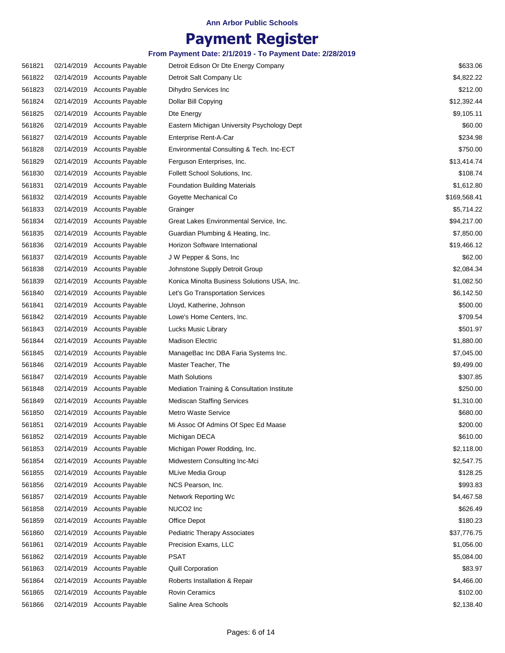### **Payment Register**

| 561821 | 02/14/2019 Accounts Payable | Detroit Edison Or Dte Energy Company        | \$633.06     |
|--------|-----------------------------|---------------------------------------------|--------------|
| 561822 | 02/14/2019 Accounts Payable | Detroit Salt Company Llc                    | \$4,822.22   |
| 561823 | 02/14/2019 Accounts Payable | Dihydro Services Inc                        | \$212.00     |
| 561824 | 02/14/2019 Accounts Payable | Dollar Bill Copying                         | \$12,392.44  |
| 561825 | 02/14/2019 Accounts Payable | Dte Energy                                  | \$9,105.11   |
| 561826 | 02/14/2019 Accounts Payable | Eastern Michigan University Psychology Dept | \$60.00      |
| 561827 | 02/14/2019 Accounts Payable | Enterprise Rent-A-Car                       | \$234.98     |
| 561828 | 02/14/2019 Accounts Payable | Environmental Consulting & Tech. Inc-ECT    | \$750.00     |
| 561829 | 02/14/2019 Accounts Payable | Ferguson Enterprises, Inc.                  | \$13,414.74  |
| 561830 | 02/14/2019 Accounts Payable | Follett School Solutions, Inc.              | \$108.74     |
| 561831 | 02/14/2019 Accounts Payable | <b>Foundation Building Materials</b>        | \$1,612.80   |
| 561832 | 02/14/2019 Accounts Payable | Goyette Mechanical Co                       | \$169,568.41 |
| 561833 | 02/14/2019 Accounts Payable | Grainger                                    | \$5,714.22   |
| 561834 | 02/14/2019 Accounts Payable | Great Lakes Environmental Service, Inc.     | \$94,217.00  |
| 561835 | 02/14/2019 Accounts Payable | Guardian Plumbing & Heating, Inc.           | \$7,850.00   |
| 561836 | 02/14/2019 Accounts Payable | Horizon Software International              | \$19,466.12  |
| 561837 | 02/14/2019 Accounts Payable | J W Pepper & Sons, Inc                      | \$62.00      |
| 561838 | 02/14/2019 Accounts Payable | Johnstone Supply Detroit Group              | \$2,084.34   |
| 561839 | 02/14/2019 Accounts Payable | Konica Minolta Business Solutions USA, Inc. | \$1,082.50   |
| 561840 | 02/14/2019 Accounts Payable | Let's Go Transportation Services            | \$6,142.50   |
| 561841 | 02/14/2019 Accounts Payable | Lloyd, Katherine, Johnson                   | \$500.00     |
| 561842 | 02/14/2019 Accounts Payable | Lowe's Home Centers, Inc.                   | \$709.54     |
| 561843 | 02/14/2019 Accounts Payable | Lucks Music Library                         | \$501.97     |
| 561844 | 02/14/2019 Accounts Payable | <b>Madison Electric</b>                     | \$1,880.00   |
| 561845 | 02/14/2019 Accounts Payable | ManageBac Inc DBA Faria Systems Inc.        | \$7,045.00   |
| 561846 | 02/14/2019 Accounts Payable | Master Teacher, The                         | \$9,499.00   |
| 561847 | 02/14/2019 Accounts Payable | <b>Math Solutions</b>                       | \$307.85     |
| 561848 | 02/14/2019 Accounts Payable | Mediation Training & Consultation Institute | \$250.00     |
| 561849 | 02/14/2019 Accounts Payable | <b>Mediscan Staffing Services</b>           | \$1,310.00   |
| 561850 | 02/14/2019 Accounts Payable | <b>Metro Waste Service</b>                  | \$680.00     |
| 561851 | 02/14/2019 Accounts Payable | Mi Assoc Of Admins Of Spec Ed Maase         | \$200.00     |
| 561852 | 02/14/2019 Accounts Payable | Michigan DECA                               | \$610.00     |
| 561853 | 02/14/2019 Accounts Payable | Michigan Power Rodding, Inc.                | \$2,118.00   |
| 561854 | 02/14/2019 Accounts Payable | Midwestern Consulting Inc-Mci               | \$2,547.75   |
| 561855 | 02/14/2019 Accounts Payable | <b>MLive Media Group</b>                    | \$128.25     |
| 561856 | 02/14/2019 Accounts Payable | NCS Pearson, Inc.                           | \$993.83     |
| 561857 | 02/14/2019 Accounts Payable | Network Reporting Wc                        | \$4,467.58   |
| 561858 | 02/14/2019 Accounts Payable | NUCO <sub>2</sub> Inc                       | \$626.49     |
| 561859 | 02/14/2019 Accounts Payable | Office Depot                                | \$180.23     |
| 561860 | 02/14/2019 Accounts Payable | <b>Pediatric Therapy Associates</b>         | \$37,776.75  |
| 561861 | 02/14/2019 Accounts Payable | Precision Exams, LLC                        | \$1,056.00   |
| 561862 | 02/14/2019 Accounts Payable | <b>PSAT</b>                                 | \$5,084.00   |
| 561863 | 02/14/2019 Accounts Payable | Quill Corporation                           | \$83.97      |
| 561864 | 02/14/2019 Accounts Payable | Roberts Installation & Repair               | \$4,466.00   |
|        | 02/14/2019 Accounts Payable | Rovin Ceramics                              | \$102.00     |
| 561865 |                             |                                             |              |
| 561866 | 02/14/2019 Accounts Payable | Saline Area Schools                         | \$2,138.40   |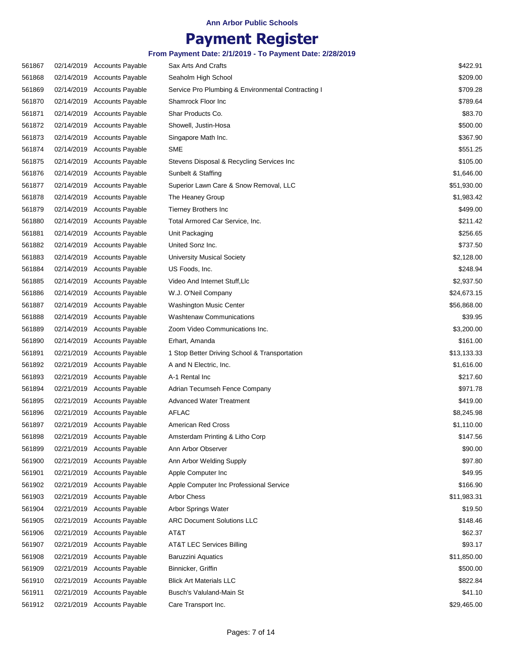## **Payment Register**

| 561867 | 02/14/2019 Accounts Payable | Sax Arts And Crafts                                | \$422.91    |
|--------|-----------------------------|----------------------------------------------------|-------------|
| 561868 | 02/14/2019 Accounts Payable | Seaholm High School                                | \$209.00    |
| 561869 | 02/14/2019 Accounts Payable | Service Pro Plumbing & Environmental Contracting I | \$709.28    |
| 561870 | 02/14/2019 Accounts Payable | Shamrock Floor Inc                                 | \$789.64    |
| 561871 | 02/14/2019 Accounts Payable | Shar Products Co.                                  | \$83.70     |
| 561872 | 02/14/2019 Accounts Payable | Showell, Justin-Hosa                               | \$500.00    |
| 561873 | 02/14/2019 Accounts Payable | Singapore Math Inc.                                | \$367.90    |
| 561874 | 02/14/2019 Accounts Payable | <b>SME</b>                                         | \$551.25    |
| 561875 | 02/14/2019 Accounts Payable | Stevens Disposal & Recycling Services Inc          | \$105.00    |
| 561876 | 02/14/2019 Accounts Payable | Sunbelt & Staffing                                 | \$1,646.00  |
| 561877 | 02/14/2019 Accounts Payable | Superior Lawn Care & Snow Removal, LLC             | \$51,930.00 |
| 561878 | 02/14/2019 Accounts Payable | The Heaney Group                                   | \$1,983.42  |
| 561879 | 02/14/2019 Accounts Payable | <b>Tierney Brothers Inc</b>                        | \$499.00    |
| 561880 | 02/14/2019 Accounts Payable | Total Armored Car Service, Inc.                    | \$211.42    |
| 561881 | 02/14/2019 Accounts Payable | Unit Packaging                                     | \$256.65    |
| 561882 | 02/14/2019 Accounts Payable | United Sonz Inc.                                   | \$737.50    |
| 561883 | 02/14/2019 Accounts Payable | <b>University Musical Society</b>                  | \$2,128.00  |
| 561884 | 02/14/2019 Accounts Payable | US Foods, Inc.                                     | \$248.94    |
| 561885 | 02/14/2019 Accounts Payable | Video And Internet Stuff, Llc                      | \$2,937.50  |
| 561886 | 02/14/2019 Accounts Payable | W.J. O'Neil Company                                | \$24,673.15 |
| 561887 | 02/14/2019 Accounts Payable | <b>Washington Music Center</b>                     | \$56,868.00 |
| 561888 | 02/14/2019 Accounts Payable | <b>Washtenaw Communications</b>                    | \$39.95     |
| 561889 | 02/14/2019 Accounts Payable | Zoom Video Communications Inc.                     | \$3,200.00  |
| 561890 | 02/14/2019 Accounts Payable | Erhart, Amanda                                     | \$161.00    |
| 561891 | 02/21/2019 Accounts Payable | 1 Stop Better Driving School & Transportation      | \$13,133.33 |
| 561892 | 02/21/2019 Accounts Payable | A and N Electric, Inc.                             | \$1,616.00  |
| 561893 | 02/21/2019 Accounts Payable | A-1 Rental Inc                                     | \$217.60    |
| 561894 | 02/21/2019 Accounts Payable | Adrian Tecumseh Fence Company                      | \$971.78    |
| 561895 | 02/21/2019 Accounts Payable | <b>Advanced Water Treatment</b>                    | \$419.00    |
| 561896 | 02/21/2019 Accounts Payable | <b>AFLAC</b>                                       | \$8,245.98  |
| 561897 | 02/21/2019 Accounts Payable | American Red Cross                                 | \$1,110.00  |
| 561898 | 02/21/2019 Accounts Payable | Amsterdam Printing & Litho Corp                    | \$147.56    |
| 561899 | 02/21/2019 Accounts Payable | Ann Arbor Observer                                 | \$90.00     |
| 561900 | 02/21/2019 Accounts Payable | Ann Arbor Welding Supply                           | \$97.80     |
| 561901 | 02/21/2019 Accounts Payable | Apple Computer Inc                                 | \$49.95     |
| 561902 | 02/21/2019 Accounts Payable | Apple Computer Inc Professional Service            | \$166.90    |
| 561903 | 02/21/2019 Accounts Payable | Arbor Chess                                        | \$11,983.31 |
| 561904 | 02/21/2019 Accounts Payable | Arbor Springs Water                                | \$19.50     |
| 561905 | 02/21/2019 Accounts Payable | <b>ARC Document Solutions LLC</b>                  | \$148.46    |
| 561906 | 02/21/2019 Accounts Payable | AT&T                                               | \$62.37     |
| 561907 | 02/21/2019 Accounts Payable | AT&T LEC Services Billing                          | \$93.17     |
| 561908 | 02/21/2019 Accounts Payable | <b>Baruzzini Aquatics</b>                          | \$11,850.00 |
| 561909 | 02/21/2019 Accounts Payable | Binnicker, Griffin                                 | \$500.00    |
| 561910 | 02/21/2019 Accounts Payable | <b>Blick Art Materials LLC</b>                     | \$822.84    |
| 561911 | 02/21/2019 Accounts Payable | Busch's Valuland-Main St                           | \$41.10     |
| 561912 | 02/21/2019 Accounts Payable | Care Transport Inc.                                | \$29,465.00 |
|        |                             |                                                    |             |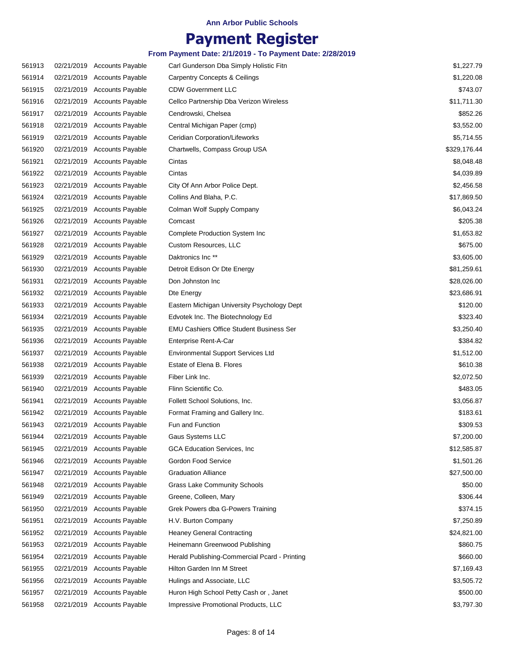### **Payment Register**

| 561913 | 02/21/2019 Accounts Payable | Carl Gunderson Dba Simply Holistic Fitn       | \$1,227.79   |
|--------|-----------------------------|-----------------------------------------------|--------------|
| 561914 | 02/21/2019 Accounts Payable | <b>Carpentry Concepts &amp; Ceilings</b>      | \$1,220.08   |
| 561915 | 02/21/2019 Accounts Payable | <b>CDW Government LLC</b>                     | \$743.07     |
| 561916 | 02/21/2019 Accounts Payable | Cellco Partnership Dba Verizon Wireless       | \$11,711.30  |
| 561917 | 02/21/2019 Accounts Payable | Cendrowski, Chelsea                           | \$852.26     |
| 561918 | 02/21/2019 Accounts Payable | Central Michigan Paper (cmp)                  | \$3,552.00   |
| 561919 | 02/21/2019 Accounts Payable | Ceridian Corporation/Lifeworks                | \$5,714.55   |
| 561920 | 02/21/2019 Accounts Payable | Chartwells, Compass Group USA                 | \$329,176.44 |
| 561921 | 02/21/2019 Accounts Payable | Cintas                                        | \$8,048.48   |
| 561922 | 02/21/2019 Accounts Payable | Cintas                                        | \$4,039.89   |
| 561923 | 02/21/2019 Accounts Payable | City Of Ann Arbor Police Dept.                | \$2,456.58   |
| 561924 | 02/21/2019 Accounts Payable | Collins And Blaha, P.C.                       | \$17,869.50  |
| 561925 | 02/21/2019 Accounts Payable | Colman Wolf Supply Company                    | \$6,043.24   |
| 561926 | 02/21/2019 Accounts Payable | Comcast                                       | \$205.38     |
| 561927 | 02/21/2019 Accounts Payable | <b>Complete Production System Inc</b>         | \$1,653.82   |
| 561928 | 02/21/2019 Accounts Payable | Custom Resources, LLC                         | \$675.00     |
| 561929 | 02/21/2019 Accounts Payable | Daktronics Inc <sup>**</sup>                  | \$3,605.00   |
| 561930 | 02/21/2019 Accounts Payable | Detroit Edison Or Dte Energy                  | \$81,259.61  |
| 561931 | 02/21/2019 Accounts Payable | Don Johnston Inc                              | \$28,026.00  |
| 561932 | 02/21/2019 Accounts Payable | Dte Energy                                    | \$23,686.91  |
| 561933 | 02/21/2019 Accounts Payable | Eastern Michigan University Psychology Dept   | \$120.00     |
| 561934 | 02/21/2019 Accounts Payable | Edvotek Inc. The Biotechnology Ed             | \$323.40     |
| 561935 | 02/21/2019 Accounts Payable | EMU Cashiers Office Student Business Ser      | \$3,250.40   |
| 561936 | 02/21/2019 Accounts Payable | Enterprise Rent-A-Car                         | \$384.82     |
| 561937 | 02/21/2019 Accounts Payable | <b>Environmental Support Services Ltd</b>     | \$1,512.00   |
| 561938 | 02/21/2019 Accounts Payable | Estate of Elena B. Flores                     | \$610.38     |
| 561939 | 02/21/2019 Accounts Payable | Fiber Link Inc.                               | \$2,072.50   |
| 561940 | 02/21/2019 Accounts Payable | Flinn Scientific Co.                          | \$483.05     |
| 561941 | 02/21/2019 Accounts Payable | Follett School Solutions, Inc.                | \$3,056.87   |
| 561942 | 02/21/2019 Accounts Payable | Format Framing and Gallery Inc.               | \$183.61     |
| 561943 | 02/21/2019 Accounts Payable | Fun and Function                              | \$309.53     |
| 561944 | 02/21/2019 Accounts Payable | Gaus Systems LLC                              | \$7,200.00   |
| 561945 | 02/21/2019 Accounts Payable | <b>GCA Education Services, Inc.</b>           | \$12,585.87  |
| 561946 | 02/21/2019 Accounts Payable | Gordon Food Service                           | \$1,501.26   |
| 561947 | 02/21/2019 Accounts Payable | <b>Graduation Alliance</b>                    | \$27,500.00  |
| 561948 | 02/21/2019 Accounts Payable | <b>Grass Lake Community Schools</b>           | \$50.00      |
| 561949 | 02/21/2019 Accounts Payable | Greene, Colleen, Mary                         | \$306.44     |
| 561950 | 02/21/2019 Accounts Payable | Grek Powers dba G-Powers Training             | \$374.15     |
| 561951 | 02/21/2019 Accounts Payable | H.V. Burton Company                           | \$7,250.89   |
|        |                             |                                               |              |
| 561952 | 02/21/2019 Accounts Payable | <b>Heaney General Contracting</b>             | \$24,821.00  |
| 561953 | 02/21/2019 Accounts Payable | Heinemann Greenwood Publishing                | \$860.75     |
| 561954 | 02/21/2019 Accounts Payable | Herald Publishing-Commercial Pcard - Printing | \$660.00     |
| 561955 | 02/21/2019 Accounts Payable | Hilton Garden Inn M Street                    | \$7,169.43   |
| 561956 | 02/21/2019 Accounts Payable | Hulings and Associate, LLC                    | \$3,505.72   |
| 561957 | 02/21/2019 Accounts Payable | Huron High School Petty Cash or, Janet        | \$500.00     |
| 561958 | 02/21/2019 Accounts Payable | Impressive Promotional Products, LLC          | \$3,797.30   |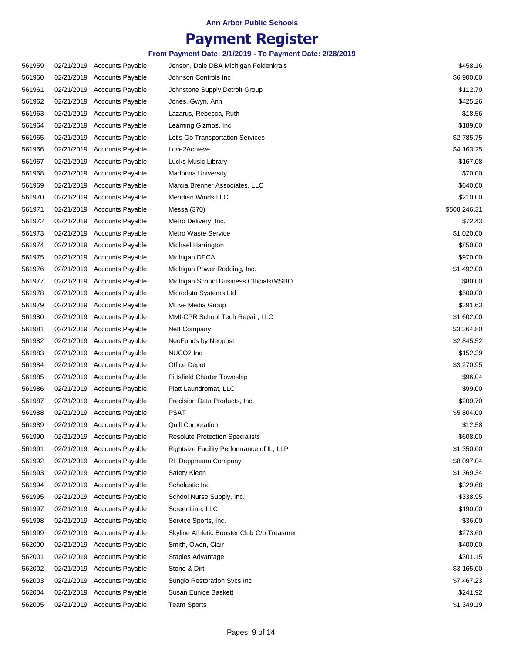### **Payment Register**

| 561959 | 02/21/2019 Accounts Payable | Jenson, Dale DBA Michigan Feldenkrais       | \$458.16     |
|--------|-----------------------------|---------------------------------------------|--------------|
| 561960 | 02/21/2019 Accounts Payable | Johnson Controls Inc                        | \$6,900.00   |
| 561961 | 02/21/2019 Accounts Payable | Johnstone Supply Detroit Group              | \$112.70     |
| 561962 | 02/21/2019 Accounts Payable | Jones, Gwyn, Ann                            | \$425.26     |
| 561963 | 02/21/2019 Accounts Payable | Lazarus, Rebecca, Ruth                      | \$18.56      |
| 561964 | 02/21/2019 Accounts Payable | Learning Gizmos, Inc.                       | \$189.00     |
| 561965 | 02/21/2019 Accounts Payable | Let's Go Transportation Services            | \$2,785.75   |
| 561966 | 02/21/2019 Accounts Payable | Love2Achieve                                | \$4,163.25   |
| 561967 | 02/21/2019 Accounts Payable | <b>Lucks Music Library</b>                  | \$167.08     |
| 561968 | 02/21/2019 Accounts Payable | <b>Madonna University</b>                   | \$70.00      |
| 561969 | 02/21/2019 Accounts Payable | Marcia Brenner Associates, LLC              | \$640.00     |
| 561970 | 02/21/2019 Accounts Payable | Meridian Winds LLC                          | \$210.00     |
| 561971 | 02/21/2019 Accounts Payable | Messa (370)                                 | \$508,246.31 |
| 561972 | 02/21/2019 Accounts Payable | Metro Delivery, Inc.                        | \$72.43      |
| 561973 | 02/21/2019 Accounts Payable | Metro Waste Service                         | \$1,020.00   |
| 561974 | 02/21/2019 Accounts Payable | Michael Harrington                          | \$850.00     |
| 561975 | 02/21/2019 Accounts Payable | Michigan DECA                               | \$970.00     |
| 561976 | 02/21/2019 Accounts Payable | Michigan Power Rodding, Inc.                | \$1,492.00   |
| 561977 | 02/21/2019 Accounts Payable | Michigan School Business Officials/MSBO     | \$80.00      |
| 561978 | 02/21/2019 Accounts Payable | Microdata Systems Ltd                       | \$500.00     |
| 561979 | 02/21/2019 Accounts Payable | <b>MLive Media Group</b>                    | \$391.63     |
| 561980 | 02/21/2019 Accounts Payable | MMI-CPR School Tech Repair, LLC             | \$1,602.00   |
| 561981 | 02/21/2019 Accounts Payable | Neff Company                                | \$3,364.80   |
| 561982 | 02/21/2019 Accounts Payable | NeoFunds by Neopost                         | \$2,845.52   |
| 561983 | 02/21/2019 Accounts Payable | NUCO <sub>2</sub> Inc                       | \$152.39     |
| 561984 | 02/21/2019 Accounts Payable | Office Depot                                | \$3,270.95   |
| 561985 | 02/21/2019 Accounts Payable | Pittsfield Charter Township                 | \$96.04      |
| 561986 | 02/21/2019 Accounts Payable | Platt Laundromat, LLC                       | \$99.00      |
| 561987 | 02/21/2019 Accounts Payable | Precision Data Products, Inc.               | \$209.70     |
| 561988 | 02/21/2019 Accounts Payable | <b>PSAT</b>                                 | \$5,804.00   |
| 561989 | 02/21/2019 Accounts Payable | <b>Quill Corporation</b>                    | \$12.58      |
| 561990 | 02/21/2019 Accounts Payable | <b>Resolute Protection Specialists</b>      | \$608.00     |
| 561991 | 02/21/2019 Accounts Payable | Rightsize Facility Performance of IL, LLP   | \$1,350.00   |
| 561992 | 02/21/2019 Accounts Payable | RL Deppmann Company                         | \$8,097.04   |
| 561993 | 02/21/2019 Accounts Payable | Safety Kleen                                | \$1,369.34   |
| 561994 | 02/21/2019 Accounts Payable | Scholastic Inc                              | \$329.68     |
| 561995 | 02/21/2019 Accounts Payable | School Nurse Supply, Inc.                   | \$338.95     |
| 561997 | 02/21/2019 Accounts Payable | ScreenLine, LLC                             | \$190.00     |
| 561998 | 02/21/2019 Accounts Payable | Service Sports, Inc.                        | \$36.00      |
| 561999 | 02/21/2019 Accounts Payable | Skyline Athletic Booster Club C/o Treasurer | \$273.60     |
| 562000 | 02/21/2019 Accounts Payable | Smith, Owen, Clair                          | \$400.00     |
| 562001 | 02/21/2019 Accounts Payable | Staples Advantage                           | \$301.15     |
| 562002 | 02/21/2019 Accounts Payable | Stone & Dirt                                | \$3,165.00   |
| 562003 | 02/21/2019 Accounts Payable | Sunglo Restoration Svcs Inc                 | \$7,467.23   |
| 562004 | 02/21/2019 Accounts Payable | Susan Eunice Baskett                        | \$241.92     |
| 562005 | 02/21/2019 Accounts Payable | <b>Team Sports</b>                          | \$1,349.19   |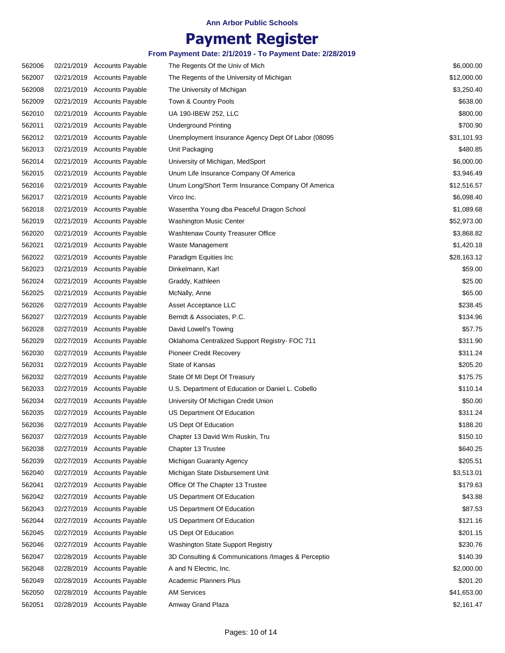### **Payment Register**

| 562006           |            | 02/21/2019 Accounts Payable                                | The Regents Of the Univ of Mich                                                         | \$6,000.00           |
|------------------|------------|------------------------------------------------------------|-----------------------------------------------------------------------------------------|----------------------|
| 562007           |            | 02/21/2019 Accounts Payable                                | The Regents of the University of Michigan                                               | \$12,000.00          |
| 562008           |            | 02/21/2019 Accounts Payable                                | The University of Michigan                                                              | \$3,250.40           |
| 562009           |            | 02/21/2019 Accounts Payable                                | Town & Country Pools                                                                    | \$638.00             |
| 562010           |            | 02/21/2019 Accounts Payable                                | UA 190-IBEW 252, LLC                                                                    | \$800.00             |
| 562011           |            | 02/21/2019 Accounts Payable                                | Underground Printing                                                                    | \$700.90             |
| 562012           |            | 02/21/2019 Accounts Payable                                | Unemployment Insurance Agency Dept Of Labor (08095                                      | \$31,101.93          |
| 562013           |            | 02/21/2019 Accounts Payable                                | Unit Packaging                                                                          | \$480.85             |
| 562014           |            | 02/21/2019 Accounts Payable                                | University of Michigan, MedSport                                                        | \$6,000.00           |
| 562015           |            | 02/21/2019 Accounts Payable                                | Unum Life Insurance Company Of America                                                  | \$3,946.49           |
| 562016           |            | 02/21/2019 Accounts Payable                                | Unum Long/Short Term Insurance Company Of America                                       | \$12,516.57          |
| 562017           |            | 02/21/2019 Accounts Payable                                | Virco Inc.                                                                              | \$6,098.40           |
| 562018           |            | 02/21/2019 Accounts Payable                                | Wasentha Young dba Peaceful Dragon School                                               | \$1,089.68           |
| 562019           |            | 02/21/2019 Accounts Payable                                | Washington Music Center                                                                 | \$52,973.00          |
| 562020           |            | 02/21/2019 Accounts Payable                                | Washtenaw County Treasurer Office                                                       | \$3,868.82           |
| 562021           |            | 02/21/2019 Accounts Payable                                | Waste Management                                                                        | \$1,420.18           |
| 562022           |            | 02/21/2019 Accounts Payable                                | Paradigm Equities Inc                                                                   | \$28,163.12          |
| 562023           |            | 02/21/2019 Accounts Payable                                | Dinkelmann, Karl                                                                        | \$59.00              |
| 562024           |            | 02/21/2019 Accounts Payable                                | Graddy, Kathleen                                                                        | \$25.00              |
| 562025           |            | 02/21/2019 Accounts Payable                                | McNally, Anne                                                                           | \$65.00              |
| 562026           |            | 02/27/2019 Accounts Payable                                | Asset Acceptance LLC                                                                    | \$238.45             |
| 562027           |            | 02/27/2019 Accounts Payable                                | Berndt & Associates, P.C.                                                               | \$134.96             |
| 562028           |            | 02/27/2019 Accounts Payable                                | David Lowell's Towing                                                                   | \$57.75              |
| 562029           |            | 02/27/2019 Accounts Payable                                | Oklahoma Centralized Support Registry- FOC 711                                          | \$311.90             |
| 562030           |            | 02/27/2019 Accounts Payable                                | <b>Pioneer Credit Recovery</b>                                                          | \$311.24             |
| 562031           |            | 02/27/2019 Accounts Payable                                | State of Kansas                                                                         | \$205.20             |
| 562032           |            | 02/27/2019 Accounts Payable                                | State Of MI Dept Of Treasury                                                            | \$175.75             |
| 562033           |            | 02/27/2019 Accounts Payable                                | U.S. Department of Education or Daniel L. Cobello                                       | \$110.14             |
| 562034           |            | 02/27/2019 Accounts Payable                                | University Of Michigan Credit Union                                                     | \$50.00              |
| 562035           |            | 02/27/2019 Accounts Payable                                | US Department Of Education                                                              | \$311.24             |
| 562036           |            | 02/27/2019 Accounts Payable                                | US Dept Of Education                                                                    | \$188.20             |
| 562037           |            | 02/27/2019 Accounts Payable                                | Chapter 13 David Wm Ruskin, Tru                                                         | \$150.10             |
| 562038           |            | 02/27/2019 Accounts Payable                                | Chapter 13 Trustee                                                                      | \$640.25             |
| 562039           |            | 02/27/2019 Accounts Payable                                | Michigan Guaranty Agency                                                                | \$205.51             |
| 562040           |            | 02/27/2019 Accounts Payable                                | Michigan State Disbursement Unit                                                        | \$3,513.01           |
| 562041           |            | 02/27/2019 Accounts Payable                                | Office Of The Chapter 13 Trustee                                                        | \$179.63             |
| 562042           |            | 02/27/2019 Accounts Payable                                | US Department Of Education                                                              | \$43.88              |
| 562043           | 02/27/2019 | Accounts Payable                                           | US Department Of Education                                                              | \$87.53              |
| 562044           |            | 02/27/2019 Accounts Payable                                | US Department Of Education                                                              | \$121.16             |
| 562045           |            | 02/27/2019 Accounts Payable                                | US Dept Of Education                                                                    | \$201.15             |
|                  |            |                                                            |                                                                                         |                      |
| 562046<br>562047 |            | 02/27/2019 Accounts Payable<br>02/28/2019 Accounts Payable | Washington State Support Registry<br>3D Consulting & Communications /Images & Perceptio | \$230.76<br>\$140.39 |
| 562048           |            | 02/28/2019 Accounts Payable                                |                                                                                         | \$2,000.00           |
|                  |            |                                                            | A and N Electric, Inc.<br><b>Academic Planners Plus</b>                                 | \$201.20             |
| 562049           |            | 02/28/2019 Accounts Payable                                |                                                                                         |                      |
| 562050           |            | 02/28/2019 Accounts Payable                                | <b>AM Services</b>                                                                      | \$41,653.00          |
| 562051           |            | 02/28/2019 Accounts Payable                                | Amway Grand Plaza                                                                       | \$2,161.47           |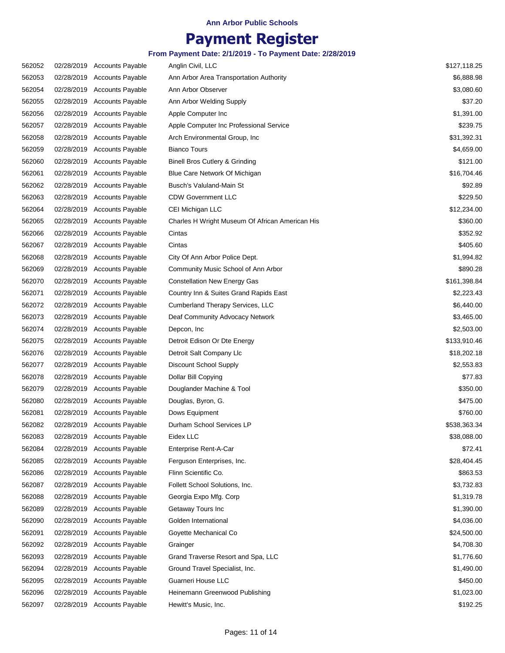### **Payment Register**

| 562052 |            | 02/28/2019 Accounts Payable | Anglin Civil, LLC                               | \$127,118.25 |
|--------|------------|-----------------------------|-------------------------------------------------|--------------|
| 562053 |            | 02/28/2019 Accounts Payable | Ann Arbor Area Transportation Authority         | \$6,888.98   |
| 562054 |            | 02/28/2019 Accounts Payable | Ann Arbor Observer                              | \$3,080.60   |
| 562055 |            | 02/28/2019 Accounts Payable | Ann Arbor Welding Supply                        | \$37.20      |
| 562056 |            | 02/28/2019 Accounts Payable | Apple Computer Inc.                             | \$1,391.00   |
| 562057 |            | 02/28/2019 Accounts Payable | Apple Computer Inc Professional Service         | \$239.75     |
| 562058 |            | 02/28/2019 Accounts Payable | Arch Environmental Group, Inc.                  | \$31,392.31  |
| 562059 |            | 02/28/2019 Accounts Payable | <b>Bianco Tours</b>                             | \$4,659.00   |
| 562060 |            | 02/28/2019 Accounts Payable | Binell Bros Cutlery & Grinding                  | \$121.00     |
| 562061 |            | 02/28/2019 Accounts Payable | Blue Care Network Of Michigan                   | \$16,704.46  |
| 562062 |            | 02/28/2019 Accounts Payable | Busch's Valuland-Main St                        | \$92.89      |
| 562063 |            | 02/28/2019 Accounts Payable | <b>CDW Government LLC</b>                       | \$229.50     |
| 562064 |            | 02/28/2019 Accounts Payable | CEI Michigan LLC                                | \$12,234.00  |
| 562065 |            | 02/28/2019 Accounts Payable | Charles H Wright Museum Of African American His | \$360.00     |
| 562066 |            | 02/28/2019 Accounts Payable | Cintas                                          | \$352.92     |
| 562067 |            | 02/28/2019 Accounts Payable | Cintas                                          | \$405.60     |
| 562068 |            | 02/28/2019 Accounts Payable | City Of Ann Arbor Police Dept.                  | \$1,994.82   |
| 562069 |            | 02/28/2019 Accounts Payable | Community Music School of Ann Arbor             | \$890.28     |
| 562070 |            | 02/28/2019 Accounts Payable | <b>Constellation New Energy Gas</b>             | \$161,398.84 |
| 562071 |            | 02/28/2019 Accounts Payable | Country Inn & Suites Grand Rapids East          | \$2,223.43   |
| 562072 |            | 02/28/2019 Accounts Payable | <b>Cumberland Therapy Services, LLC</b>         | \$6,440.00   |
| 562073 |            | 02/28/2019 Accounts Payable | Deaf Community Advocacy Network                 | \$3,465.00   |
| 562074 |            | 02/28/2019 Accounts Payable | Depcon, Inc.                                    | \$2,503.00   |
| 562075 |            | 02/28/2019 Accounts Payable | Detroit Edison Or Dte Energy                    | \$133,910.46 |
| 562076 |            | 02/28/2019 Accounts Payable | Detroit Salt Company Llc                        | \$18,202.18  |
| 562077 |            | 02/28/2019 Accounts Payable | Discount School Supply                          | \$2,553.83   |
| 562078 |            | 02/28/2019 Accounts Payable | Dollar Bill Copying                             | \$77.83      |
| 562079 |            | 02/28/2019 Accounts Payable | Douglander Machine & Tool                       | \$350.00     |
| 562080 |            | 02/28/2019 Accounts Payable | Douglas, Byron, G.                              | \$475.00     |
| 562081 |            | 02/28/2019 Accounts Payable | Dows Equipment                                  | \$760.00     |
| 562082 |            | 02/28/2019 Accounts Payable | Durham School Services LP                       | \$538,363.34 |
| 562083 |            | 02/28/2019 Accounts Payable | Eidex LLC                                       | \$38,088.00  |
| 562084 | 02/28/2019 | <b>Accounts Payable</b>     | Enterprise Rent-A-Car                           | \$72.41      |
| 562085 | 02/28/2019 | <b>Accounts Payable</b>     | Ferguson Enterprises, Inc.                      | \$28,404.45  |
| 562086 | 02/28/2019 | <b>Accounts Payable</b>     | Flinn Scientific Co.                            | \$863.53     |
| 562087 |            | 02/28/2019 Accounts Payable | Follett School Solutions, Inc.                  | \$3,732.83   |
| 562088 | 02/28/2019 | <b>Accounts Payable</b>     | Georgia Expo Mfg. Corp                          | \$1,319.78   |
| 562089 | 02/28/2019 | <b>Accounts Payable</b>     | Getaway Tours Inc                               | \$1,390.00   |
| 562090 | 02/28/2019 | <b>Accounts Payable</b>     | Golden International                            | \$4,036.00   |
| 562091 | 02/28/2019 | <b>Accounts Payable</b>     | Goyette Mechanical Co                           | \$24,500.00  |
| 562092 | 02/28/2019 | <b>Accounts Payable</b>     | Grainger                                        | \$4,708.30   |
| 562093 | 02/28/2019 | <b>Accounts Payable</b>     | Grand Traverse Resort and Spa, LLC              | \$1,776.60   |
| 562094 |            | 02/28/2019 Accounts Payable | Ground Travel Specialist, Inc.                  | \$1,490.00   |
| 562095 | 02/28/2019 | <b>Accounts Payable</b>     | Guarneri House LLC                              | \$450.00     |
| 562096 |            | 02/28/2019 Accounts Payable | Heinemann Greenwood Publishing                  | \$1,023.00   |
| 562097 |            | 02/28/2019 Accounts Payable | Hewitt's Music, Inc.                            | \$192.25     |
|        |            |                             |                                                 |              |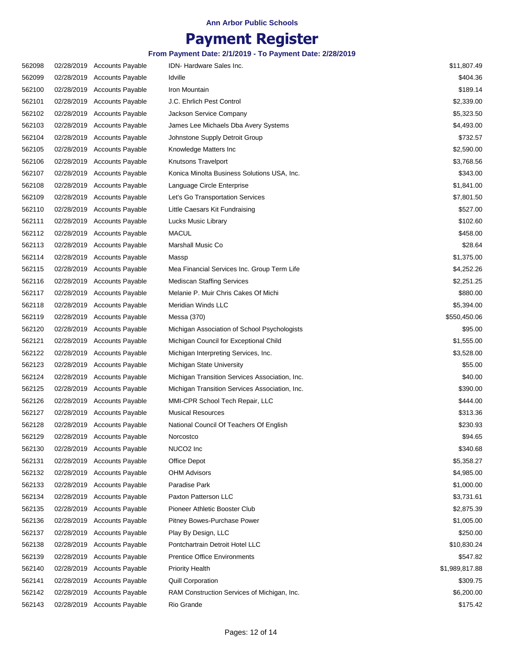# **Payment Register**

| 562098 | 02/28/2019 Accounts Payable | IDN-Hardware Sales Inc.                        | \$11,807.49    |
|--------|-----------------------------|------------------------------------------------|----------------|
| 562099 | 02/28/2019 Accounts Payable | Idville                                        | \$404.36       |
| 562100 | 02/28/2019 Accounts Payable | Iron Mountain                                  | \$189.14       |
| 562101 | 02/28/2019 Accounts Payable | J.C. Ehrlich Pest Control                      | \$2,339.00     |
| 562102 | 02/28/2019 Accounts Payable | Jackson Service Company                        | \$5,323.50     |
| 562103 | 02/28/2019 Accounts Payable | James Lee Michaels Dba Avery Systems           | \$4,493.00     |
| 562104 | 02/28/2019 Accounts Payable | Johnstone Supply Detroit Group                 | \$732.57       |
| 562105 | 02/28/2019 Accounts Payable | Knowledge Matters Inc                          | \$2,590.00     |
| 562106 | 02/28/2019 Accounts Payable | Knutsons Travelport                            | \$3,768.56     |
| 562107 | 02/28/2019 Accounts Payable | Konica Minolta Business Solutions USA, Inc.    | \$343.00       |
| 562108 | 02/28/2019 Accounts Payable | Language Circle Enterprise                     | \$1,841.00     |
| 562109 | 02/28/2019 Accounts Payable | Let's Go Transportation Services               | \$7,801.50     |
| 562110 | 02/28/2019 Accounts Payable | Little Caesars Kit Fundraising                 | \$527.00       |
| 562111 | 02/28/2019 Accounts Payable | Lucks Music Library                            | \$102.60       |
| 562112 | 02/28/2019 Accounts Payable | <b>MACUL</b>                                   | \$458.00       |
| 562113 | 02/28/2019 Accounts Payable | Marshall Music Co                              | \$28.64        |
| 562114 | 02/28/2019 Accounts Payable | Massp                                          | \$1,375.00     |
| 562115 | 02/28/2019 Accounts Payable | Mea Financial Services Inc. Group Term Life    | \$4,252.26     |
| 562116 | 02/28/2019 Accounts Payable | <b>Mediscan Staffing Services</b>              | \$2,251.25     |
| 562117 | 02/28/2019 Accounts Payable | Melanie P. Muir Chris Cakes Of Michi           | \$880.00       |
| 562118 | 02/28/2019 Accounts Payable | Meridian Winds LLC                             | \$5,394.00     |
| 562119 | 02/28/2019 Accounts Payable | Messa (370)                                    | \$550,450.06   |
| 562120 | 02/28/2019 Accounts Payable | Michigan Association of School Psychologists   | \$95.00        |
| 562121 | 02/28/2019 Accounts Payable | Michigan Council for Exceptional Child         | \$1,555.00     |
| 562122 | 02/28/2019 Accounts Payable | Michigan Interpreting Services, Inc.           | \$3,528.00     |
| 562123 | 02/28/2019 Accounts Payable | Michigan State University                      | \$55.00        |
| 562124 | 02/28/2019 Accounts Payable | Michigan Transition Services Association, Inc. | \$40.00        |
| 562125 | 02/28/2019 Accounts Payable | Michigan Transition Services Association, Inc. | \$390.00       |
| 562126 | 02/28/2019 Accounts Payable | MMI-CPR School Tech Repair, LLC                | \$444.00       |
| 562127 | 02/28/2019 Accounts Payable | <b>Musical Resources</b>                       | \$313.36       |
| 562128 | 02/28/2019 Accounts Payable | National Council Of Teachers Of English        | \$230.93       |
| 562129 | 02/28/2019 Accounts Payable | Norcostco                                      | \$94.65        |
| 562130 | 02/28/2019 Accounts Payable | NUCO <sub>2</sub> Inc                          | \$340.68       |
| 562131 | 02/28/2019 Accounts Payable | Office Depot                                   | \$5,358.27     |
| 562132 | 02/28/2019 Accounts Payable | <b>OHM Advisors</b>                            | \$4,985.00     |
| 562133 | 02/28/2019 Accounts Payable | Paradise Park                                  | \$1,000.00     |
| 562134 | 02/28/2019 Accounts Payable | Paxton Patterson LLC                           | \$3,731.61     |
| 562135 | 02/28/2019 Accounts Payable | Pioneer Athletic Booster Club                  | \$2,875.39     |
| 562136 | 02/28/2019 Accounts Payable | Pitney Bowes-Purchase Power                    | \$1,005.00     |
| 562137 | 02/28/2019 Accounts Payable | Play By Design, LLC                            | \$250.00       |
| 562138 | 02/28/2019 Accounts Payable | Pontchartrain Detroit Hotel LLC                | \$10,830.24    |
| 562139 | 02/28/2019 Accounts Payable | <b>Prentice Office Environments</b>            | \$547.82       |
| 562140 | 02/28/2019 Accounts Payable | <b>Priority Health</b>                         | \$1,989,817.88 |
| 562141 | 02/28/2019 Accounts Payable | <b>Quill Corporation</b>                       | \$309.75       |
| 562142 | 02/28/2019 Accounts Payable | RAM Construction Services of Michigan, Inc.    | \$6,200.00     |
| 562143 | 02/28/2019 Accounts Payable | Rio Grande                                     | \$175.42       |
|        |                             |                                                |                |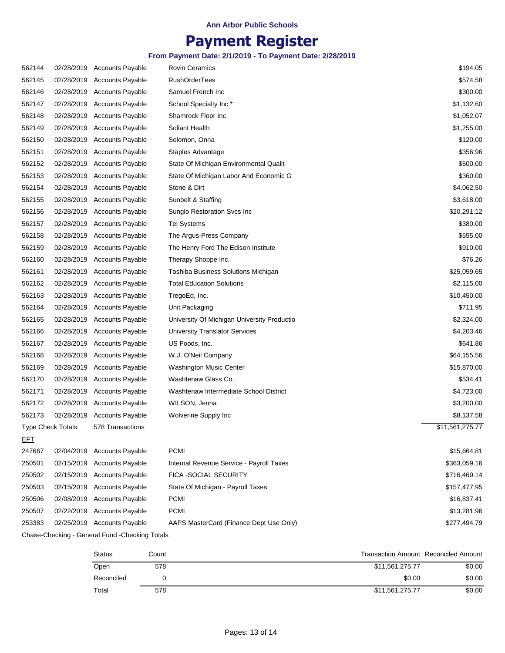# **Payment Register**

### **From Payment Date: 2/1/2019 - To Payment Date: 2/28/2019**

| 562144     |                           | 02/28/2019 Accounts Payable | Rovin Ceramics                              | \$194.05        |
|------------|---------------------------|-----------------------------|---------------------------------------------|-----------------|
| 562145     | 02/28/2019                | <b>Accounts Payable</b>     | <b>RushOrderTees</b>                        | \$574.58        |
| 562146     | 02/28/2019                | <b>Accounts Payable</b>     | Samuel French Inc                           | \$300.00        |
| 562147     | 02/28/2019                | <b>Accounts Payable</b>     | School Specialty Inc*                       | \$1,132.60      |
| 562148     | 02/28/2019                | <b>Accounts Payable</b>     | Shamrock Floor Inc                          | \$1,052.07      |
| 562149     | 02/28/2019                | <b>Accounts Payable</b>     | Soliant Health                              | \$1,755.00      |
| 562150     | 02/28/2019                | <b>Accounts Payable</b>     | Solomon, Onna                               | \$120.00        |
| 562151     | 02/28/2019                | <b>Accounts Payable</b>     | Staples Advantage                           | \$356.96        |
| 562152     | 02/28/2019                | <b>Accounts Payable</b>     | State Of Michigan Environmental Qualit      | \$500.00        |
| 562153     | 02/28/2019                | <b>Accounts Payable</b>     | State Of Michigan Labor And Economic G      | \$360.00        |
| 562154     | 02/28/2019                | <b>Accounts Payable</b>     | Stone & Dirt                                | \$4,062.50      |
| 562155     | 02/28/2019                | Accounts Payable            | Sunbelt & Staffing                          | \$3,618.00      |
| 562156     | 02/28/2019                | <b>Accounts Payable</b>     | Sunglo Restoration Svcs Inc                 | \$20,291.12     |
| 562157     | 02/28/2019                | <b>Accounts Payable</b>     | <b>Tel Systems</b>                          | \$380.00        |
| 562158     | 02/28/2019                | <b>Accounts Payable</b>     | The Argus-Press Company                     | \$555.00        |
| 562159     | 02/28/2019                | <b>Accounts Payable</b>     | The Henry Ford The Edison Institute         | \$910.00        |
| 562160     | 02/28/2019                | <b>Accounts Payable</b>     | Therapy Shoppe Inc.                         | \$76.26         |
| 562161     | 02/28/2019                | <b>Accounts Payable</b>     | Toshiba Business Solutions Michigan         | \$25,059.65     |
| 562162     | 02/28/2019                | <b>Accounts Payable</b>     | <b>Total Education Solutions</b>            | \$2,115.00      |
| 562163     | 02/28/2019                | <b>Accounts Payable</b>     | TregoEd, Inc.                               | \$10,450.00     |
| 562164     | 02/28/2019                | <b>Accounts Payable</b>     | Unit Packaging                              | \$711.95        |
| 562165     | 02/28/2019                | <b>Accounts Payable</b>     | University Of Michigan University Productio | \$2,324.00      |
| 562166     | 02/28/2019                | <b>Accounts Payable</b>     | <b>University Translator Services</b>       | \$4,203.46      |
| 562167     | 02/28/2019                | <b>Accounts Payable</b>     | US Foods, Inc.                              | \$641.86        |
| 562168     | 02/28/2019                | <b>Accounts Payable</b>     | W.J. O'Neil Company                         | \$64,155.56     |
| 562169     | 02/28/2019                | <b>Accounts Payable</b>     | Washington Music Center                     | \$15,870.00     |
| 562170     | 02/28/2019                | <b>Accounts Payable</b>     | Washtenaw Glass Co.                         | \$534.41        |
| 562171     | 02/28/2019                | <b>Accounts Payable</b>     | Washtenaw Intermediate School District      | \$4,723.00      |
| 562172     | 02/28/2019                | <b>Accounts Payable</b>     | WILSON, Jenna                               | \$3,200.00      |
| 562173     | 02/28/2019                | <b>Accounts Payable</b>     | Wolverine Supply Inc                        | \$8,137.58      |
|            | <b>Type Check Totals:</b> | 578 Transactions            |                                             | \$11,561,275.77 |
| <u>EFT</u> |                           |                             |                                             |                 |
| 247667     | 02/04/2019                | <b>Accounts Payable</b>     | <b>PCMI</b>                                 | \$15,664.81     |
| 250501     | 02/15/2019                | <b>Accounts Payable</b>     | Internal Revenue Service - Payroll Taxes    | \$363,059.16    |
| 250502     | 02/15/2019                | <b>Accounts Payable</b>     | FICA -SOCIAL SECURITY                       | \$716,469.14    |
| 250503     | 02/15/2019                | <b>Accounts Payable</b>     | State Of Michigan - Payroll Taxes           | \$157,477.95    |
| 250506     | 02/08/2019                | <b>Accounts Payable</b>     | <b>PCMI</b>                                 | \$16,837.41     |
| 250507     | 02/22/2019                | <b>Accounts Payable</b>     | <b>PCMI</b>                                 | \$13,281.96     |
| 253383     | 02/25/2019                | <b>Accounts Payable</b>     | AAPS MasterCard (Finance Dept Use Only)     | \$277,494.79    |
|            |                           |                             |                                             |                 |

Chase-Checking - General Fund -Checking Totals

| Status     | Count |                 | <b>Transaction Amount Reconciled Amount</b> |
|------------|-------|-----------------|---------------------------------------------|
| Open       | 578   | \$11.561.275.77 | \$0.00                                      |
| Reconciled |       | \$0.00          | \$0.00                                      |
| Total      | 578   | \$11,561,275.77 | \$0.00                                      |